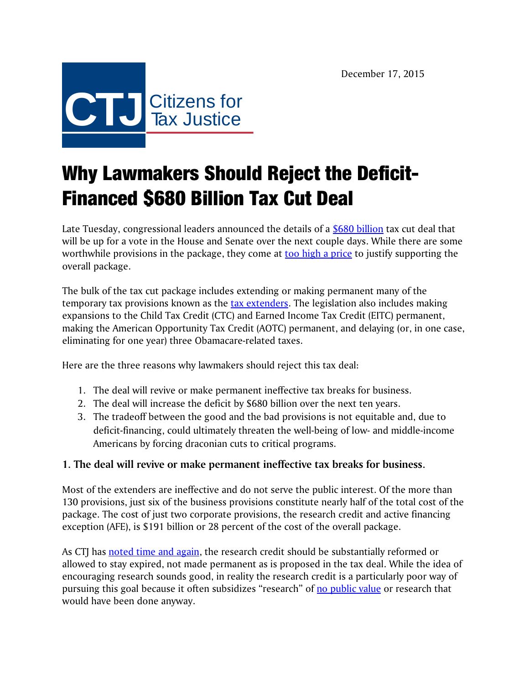

## Why Lawmakers Should Reject the Deficit-Financed \$680 Billion Tax Cut Deal

Late Tuesday, congressional leaders announced the details of a [\\$680 billion](http://www.wsj.com/articles/democratic-lawmakers-split-on-major-tax-cut-deal-1450290532) tax cut deal that will be up for a vote in the House and Senate over the next couple days. While there are some worthwhile provisions in the package, they come at [too high a price](http://ctj.org/ctjreports/2015/12/press_statement_compromise_good_things_in_the_extenders_package_come_at_far_too_high_a_price.php) to justify supporting the overall package.

The bulk of the tax cut package includes extending or making permanent many of the temporary tax provisions known as the [tax extenders.](http://ctj.org/ctjreports/2015/11/evaluating_the_tax_extenders.php) The legislation also includes making expansions to the Child Tax Credit (CTC) and Earned Income Tax Credit (EITC) permanent, making the American Opportunity Tax Credit (AOTC) permanent, and delaying (or, in one case, eliminating for one year) three Obamacare-related taxes.

Here are the three reasons why lawmakers should reject this tax deal:

- 1. The deal will revive or make permanent ineffective tax breaks for business.
- 2. The deal will increase the deficit by \$680 billion over the next ten years.
- 3. The tradeoff between the good and the bad provisions is not equitable and, due to deficit-financing, could ultimately threaten the well-being of low- and middle-income Americans by forcing draconian cuts to critical programs.

## **1. The deal will revive or make permanent ineffective tax breaks for business.**

Most of the extenders are ineffective and do not serve the public interest. Of the more than 130 provisions, just six of the business provisions constitute nearly half of the total cost of the package. The cost of just two corporate provisions, the research credit and active financing exception (AFE), is \$191 billion or 28 percent of the cost of the overall package.

As CTJ has [noted time and again,](http://ctj.org/ctjreports/2013/12/reform_the_research_tax_credit_--_or_let_it_die.php) the research credit should be substantially reformed or allowed to stay expired, not made permanent as is proposed in the tax deal. While the idea of encouraging research sounds good, in reality the research credit is a particularly poor way of pursuing this goal because it often subsidizes "research" of [no public value](http://www.taxjusticeblog.org/archive/2014/11/research_tax_credit_used_to_de.php) or research that would have been done anyway.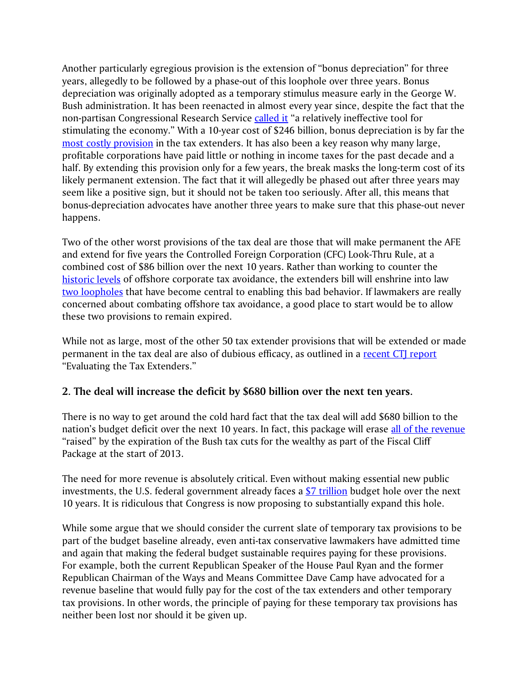Another particularly egregious provision is the extension of "bonus depreciation" for three years, allegedly to be followed by a phase-out of this loophole over three years. Bonus depreciation was originally adopted as a temporary stimulus measure early in the George W. Bush administration. It has been reenacted in almost every year since, despite the fact that the non-partisan Congressional Research Service [called it](http://www.fas.org/sgp/crs/misc/RL31852.pdf) "a relatively ineffective tool for stimulating the economy." With a 10-year cost of \$246 billion, bonus depreciation is by far the [most costly provision](http://ctj.org/ctjreports/2015/11/evaluating_the_tax_extenders.php) in the tax extenders. It has also been a key reason why many large, profitable corporations have paid little or nothing in income taxes for the past decade and a half. By extending this provision only for a few years, the break masks the long-term cost of its likely permanent extension. The fact that it will allegedly be phased out after three years may seem like a positive sign, but it should not be taken too seriously. After all, this means that bonus-depreciation advocates have another three years to make sure that this phase-out never happens.

Two of the other worst provisions of the tax deal are those that will make permanent the AFE and extend for five years the Controlled Foreign Corporation (CFC) Look-Thru Rule, at a combined cost of \$86 billion over the next 10 years. Rather than working to counter the [historic levels](http://ctj.org/ctjreports/2015/10/offshore_shell_games_2015.php) of offshore corporate tax avoidance, the extenders bill will enshrine into law [two loopholes](http://ctj.org/ctjreports/2012/08/dont_renew_the_offshore_tax_loopholes.php) that have become central to enabling this bad behavior. If lawmakers are really concerned about combating offshore tax avoidance, a good place to start would be to allow these two provisions to remain expired.

While not as large, most of the other 50 tax extender provisions that will be extended or made permanent in the tax deal are also of dubious efficacy, as outlined in a [recent CTJ report](http://ctj.org/ctjreports/2015/11/evaluating_the_tax_extenders.php) "Evaluating the Tax Extenders."

## **2. The deal will increase the deficit by \$680 billion over the next ten years.**

There is no way to get around the cold hard fact that the tax deal will add \$680 billion to the nation's budget deficit over the next 10 years. In fact, this package will erase [all of the revenue](http://ctj.org/ctjreports/2013/01/revenue_impacts_of_the_fiscal_cliff_deal.php) "raised" by the expiration of the Bush tax cuts for the wealthy as part of the Fiscal Cliff Package at the start of 2013.

The need for more revenue is absolutely critical. Even without making essential new public investments, the U.S. federal government already faces a  $$7$  trillion budget hole over the next 10 years. It is ridiculous that Congress is now proposing to substantially expand this hole.

While some argue that we should consider the current slate of temporary tax provisions to be part of the budget baseline already, even anti-tax conservative lawmakers have admitted time and again that making the federal budget sustainable requires paying for these provisions. For example, both the current Republican Speaker of the House Paul Ryan and the former Republican Chairman of the Ways and Means Committee Dave Camp have advocated for a revenue baseline that would fully pay for the cost of the tax extenders and other temporary tax provisions. In other words, the principle of paying for these temporary tax provisions has neither been lost nor should it be given up.